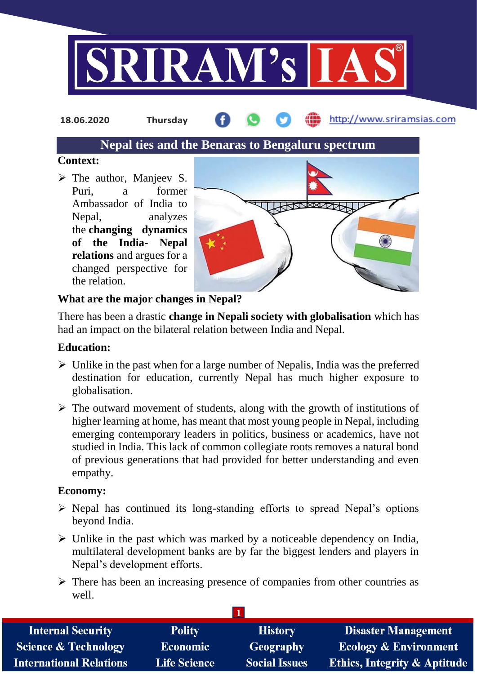

**18.06.2020 Thursday**

http://www.sriramsias.com

# **Nepal ties and the Benaras to Bengaluru spectrum**

## **Context:**

 $\triangleright$  The author, Manjeev S. Puri, a former Ambassador of India to Nepal, analyzes the **changing dynamics of the India- Nepal relations** and argues for a changed perspective for the relation.



## **What are the major changes in Nepal?**

There has been a drastic **change in Nepali society with globalisation** which has had an impact on the bilateral relation between India and Nepal.

## **Education:**

- $\triangleright$  Unlike in the past when for a large number of Nepalis, India was the preferred destination for education, currently Nepal has much higher exposure to globalisation.
- $\triangleright$  The outward movement of students, along with the growth of institutions of higher learning at home, has meant that most young people in Nepal, including emerging contemporary leaders in politics, business or academics, have not studied in India. This lack of common collegiate roots removes a natural bond of previous generations that had provided for better understanding and even empathy.

## **Economy:**

- $\triangleright$  Nepal has continued its long-standing efforts to spread Nepal's options beyond India.
- $\triangleright$  Unlike in the past which was marked by a noticeable dependency on India, multilateral development banks are by far the biggest lenders and players in Nepal's development efforts.
- $\triangleright$  There has been an increasing presence of companies from other countries as well.

| <b>Internal Security</b>        | <b>Polity</b>       | <b>History</b>       | <b>Disaster Management</b>              |
|---------------------------------|---------------------|----------------------|-----------------------------------------|
| <b>Science &amp; Technology</b> | <b>Economic</b>     | Geography            | <b>Ecology &amp; Environment</b>        |
| <b>International Relations</b>  | <b>Life Science</b> | <b>Social Issues</b> | <b>Ethics, Integrity &amp; Aptitude</b> |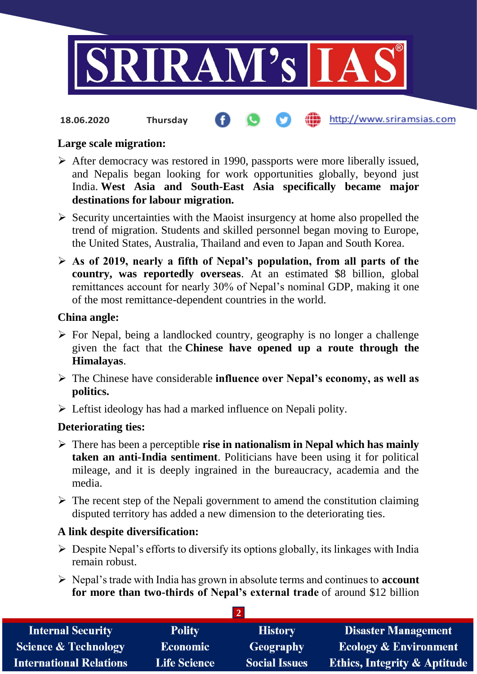

#### http://www.sriramsias.com **18.06.2020 Thursday**

#### **Large scale migration:**

- $\triangleright$  After democracy was restored in 1990, passports were more liberally issued, and Nepalis began looking for work opportunities globally, beyond just India. **West Asia and South-East Asia specifically became major destinations for labour migration.**
- $\triangleright$  Security uncertainties with the Maoist insurgency at home also propelled the trend of migration. Students and skilled personnel began moving to Europe, the United States, Australia, Thailand and even to Japan and South Korea.
- **As of 2019, nearly a fifth of Nepal's population, from all parts of the country, was reportedly overseas**. At an estimated \$8 billion, global remittances account for nearly 30% of Nepal's nominal GDP, making it one of the most remittance-dependent countries in the world.

#### **China angle:**

- $\triangleright$  For Nepal, being a landlocked country, geography is no longer a challenge given the fact that the **Chinese have opened up a route through the Himalayas**.
- The Chinese have considerable **influence over Nepal's economy, as well as politics.**
- $\triangleright$  Leftist ideology has had a marked influence on Nepali polity.

## **Deteriorating ties:**

- There has been a perceptible **rise in nationalism in Nepal which has mainly taken an anti-India sentiment**. Politicians have been using it for political mileage, and it is deeply ingrained in the bureaucracy, academia and the media.
- $\triangleright$  The recent step of the Nepali government to amend the constitution claiming disputed territory has added a new dimension to the deteriorating ties.

## **A link despite diversification:**

- $\triangleright$  Despite Nepal's efforts to diversify its options globally, its linkages with India remain robust.
- Nepal's trade with India has grown in absolute terms and continues to **account for more than two-thirds of Nepal's external trade** of around \$12 billion

**2** 

| <b>Internal Security</b>        | <b>Polity</b>       | <b>History</b>       | <b>Disaster Management</b>              |  |  |  |
|---------------------------------|---------------------|----------------------|-----------------------------------------|--|--|--|
| <b>Science &amp; Technology</b> | <b>Economic</b>     | <b>Geography</b>     | <b>Ecology &amp; Environment</b>        |  |  |  |
| <b>International Relations</b>  | <b>Life Science</b> | <b>Social Issues</b> | <b>Ethics, Integrity &amp; Aptitude</b> |  |  |  |